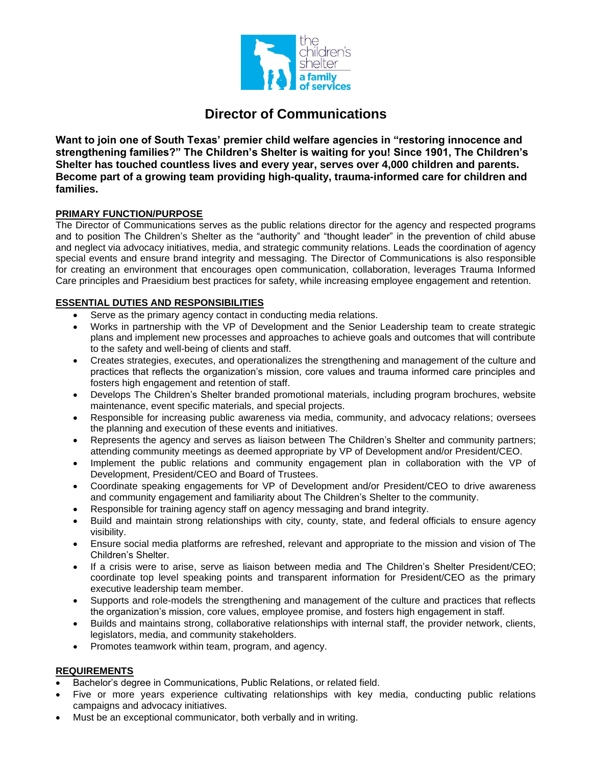

# **Director of Communications**

**Want to join one of South Texas' premier child welfare agencies in "restoring innocence and strengthening families?" The Children's Shelter is waiting for you! Since 1901, The Children's Shelter has touched countless lives and every year, serves over 4,000 children and parents. Become part of a growing team providing high-quality, trauma-informed care for children and families.** 

# **PRIMARY FUNCTION/PURPOSE**

The Director of Communications serves as the public relations director for the agency and respected programs and to position The Children's Shelter as the "authority" and "thought leader" in the prevention of child abuse and neglect via advocacy initiatives, media, and strategic community relations. Leads the coordination of agency special events and ensure brand integrity and messaging. The Director of Communications is also responsible for creating an environment that encourages open communication, collaboration, leverages Trauma Informed Care principles and Praesidium best practices for safety, while increasing employee engagement and retention.

# **ESSENTIAL DUTIES AND RESPONSIBILITIES**

- Serve as the primary agency contact in conducting media relations.
- Works in partnership with the VP of Development and the Senior Leadership team to create strategic plans and implement new processes and approaches to achieve goals and outcomes that will contribute to the safety and well-being of clients and staff.
- Creates strategies, executes, and operationalizes the strengthening and management of the culture and practices that reflects the organization's mission, core values and trauma informed care principles and fosters high engagement and retention of staff.
- Develops The Children's Shelter branded promotional materials, including program brochures, website maintenance, event specific materials, and special projects.
- Responsible for increasing public awareness via media, community, and advocacy relations; oversees the planning and execution of these events and initiatives.
- Represents the agency and serves as liaison between The Children's Shelter and community partners; attending community meetings as deemed appropriate by VP of Development and/or President/CEO.
- Implement the public relations and community engagement plan in collaboration with the VP of Development, President/CEO and Board of Trustees.
- Coordinate speaking engagements for VP of Development and/or President/CEO to drive awareness and community engagement and familiarity about The Children's Shelter to the community.
- Responsible for training agency staff on agency messaging and brand integrity.
- Build and maintain strong relationships with city, county, state, and federal officials to ensure agency visibility.
- Ensure social media platforms are refreshed, relevant and appropriate to the mission and vision of The Children's Shelter.
- If a crisis were to arise, serve as liaison between media and The Children's Shelter President/CEO; coordinate top level speaking points and transparent information for President/CEO as the primary executive leadership team member.
- Supports and role-models the strengthening and management of the culture and practices that reflects the organization's mission, core values, employee promise, and fosters high engagement in staff.
- Builds and maintains strong, collaborative relationships with internal staff, the provider network, clients, legislators, media, and community stakeholders.
- Promotes teamwork within team, program, and agency.

### **REQUIREMENTS**

- Bachelor's degree in Communications, Public Relations, or related field.
- Five or more years experience cultivating relationships with key media, conducting public relations campaigns and advocacy initiatives.
- Must be an exceptional communicator, both verbally and in writing.